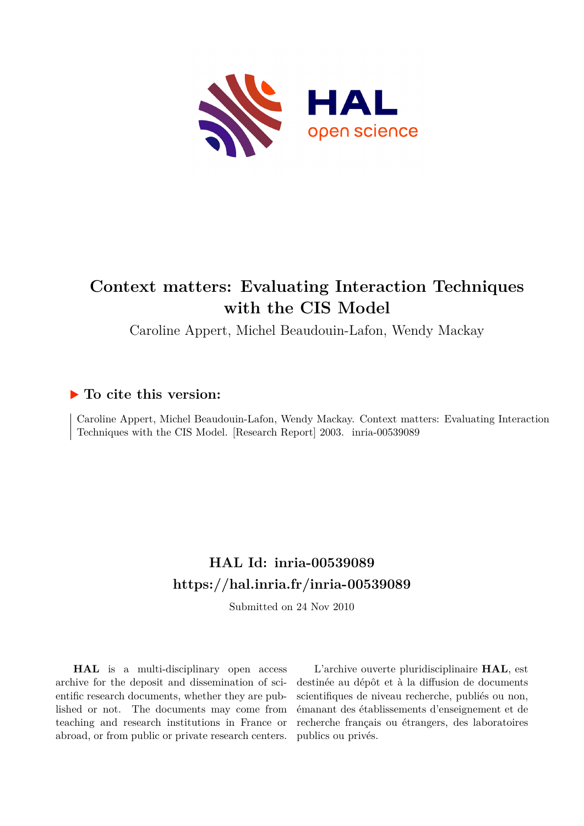

# **Context matters: Evaluating Interaction Techniques with the CIS Model**

Caroline Appert, Michel Beaudouin-Lafon, Wendy Mackay

# **To cite this version:**

Caroline Appert, Michel Beaudouin-Lafon, Wendy Mackay. Context matters: Evaluating Interaction Techniques with the CIS Model. [Research Report] 2003. inria-00539089

# **HAL Id: inria-00539089 <https://hal.inria.fr/inria-00539089>**

Submitted on 24 Nov 2010

**HAL** is a multi-disciplinary open access archive for the deposit and dissemination of scientific research documents, whether they are published or not. The documents may come from teaching and research institutions in France or abroad, or from public or private research centers.

L'archive ouverte pluridisciplinaire **HAL**, est destinée au dépôt et à la diffusion de documents scientifiques de niveau recherche, publiés ou non, émanant des établissements d'enseignement et de recherche français ou étrangers, des laboratoires publics ou privés.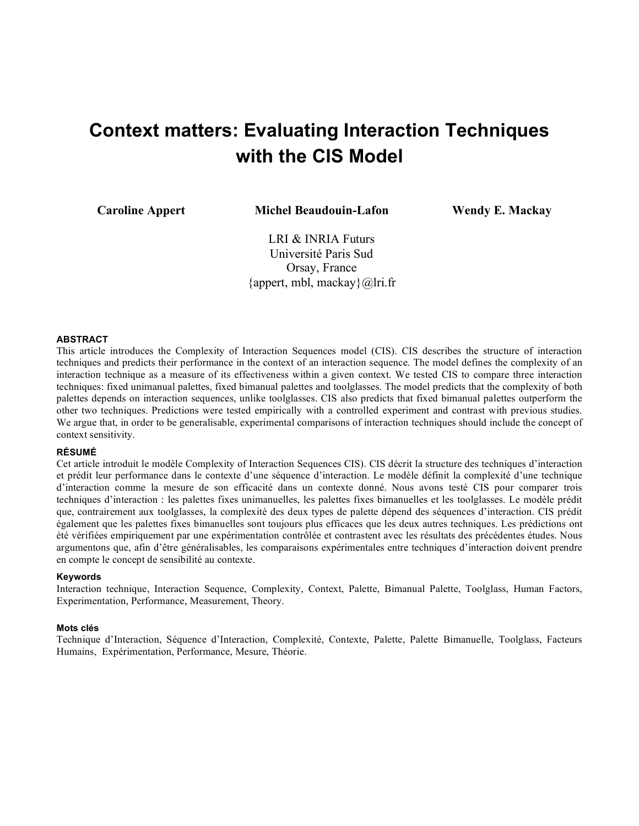# **Context matters: Evaluating Interaction Techniques with the CIS Model**

**Caroline Appert Michel Beaudouin-Lafon Wendy E. Mackay**

LRI & INRIA Futurs Université Paris Sud Orsay, France {appert, mbl, mackay} $@$ lri.fr

# **ABSTRACT**

This article introduces the Complexity of Interaction Sequences model (CIS). CIS describes the structure of interaction techniques and predicts their performance in the context of an interaction sequence. The model defines the complexity of an interaction technique as a measure of its effectiveness within a given context. We tested CIS to compare three interaction techniques: fixed unimanual palettes, fixed bimanual palettes and toolglasses. The model predicts that the complexity of both palettes depends on interaction sequences, unlike toolglasses. CIS also predicts that fixed bimanual palettes outperform the other two techniques. Predictions were tested empirically with a controlled experiment and contrast with previous studies. We argue that, in order to be generalisable, experimental comparisons of interaction techniques should include the concept of context sensitivity.

## **RÉSUMÉ**

Cet article introduit le modèle Complexity of Interaction Sequences CIS). CIS décrit la structure des techniques d'interaction et prédit leur performance dans le contexte d'une séquence d'interaction. Le modèle définit la complexité d'une technique d'interaction comme la mesure de son efficacité dans un contexte donné. Nous avons testé CIS pour comparer trois techniques d'interaction : les palettes fixes unimanuelles, les palettes fixes bimanuelles et les toolglasses. Le modèle prédit que, contrairement aux toolglasses, la complexité des deux types de palette dépend des séquences d'interaction. CIS prédit également que les palettes fixes bimanuelles sont toujours plus efficaces que les deux autres techniques. Les prédictions ont été vérifiées empiriquement par une expérimentation contrôlée et contrastent avec les résultats des précédentes études. Nous argumentons que, afin d'être généralisables, les comparaisons expérimentales entre techniques d'interaction doivent prendre en compte le concept de sensibilité au contexte.

### **Keywords**

Interaction technique, Interaction Sequence, Complexity, Context, Palette, Bimanual Palette, Toolglass, Human Factors, Experimentation, Performance, Measurement, Theory.

### **Mots clés**

Technique d'Interaction, Séquence d'Interaction, Complexité, Contexte, Palette, Palette Bimanuelle, Toolglass, Facteurs Humains, Expérimentation, Performance, Mesure, Théorie.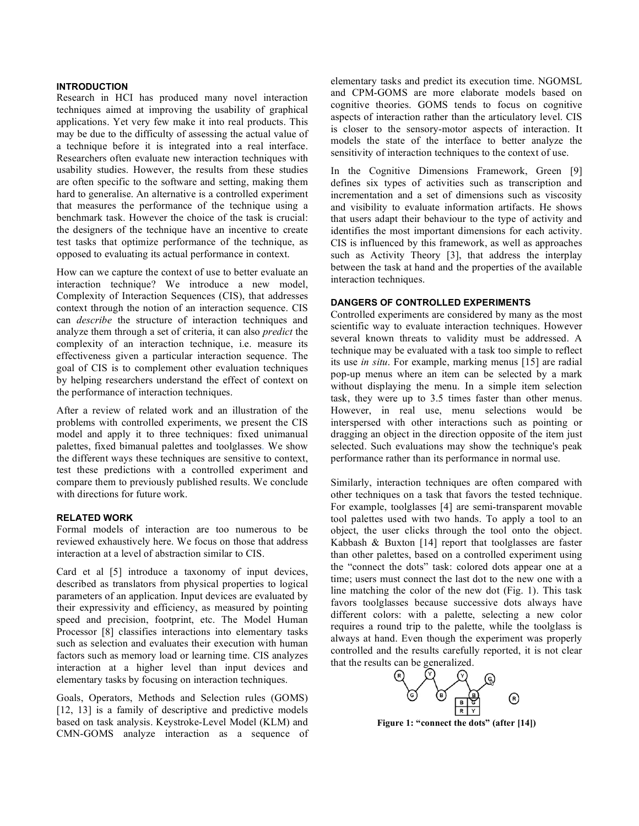# **INTRODUCTION**

Research in HCI has produced many novel interaction techniques aimed at improving the usability of graphical applications. Yet very few make it into real products. This may be due to the difficulty of assessing the actual value of a technique before it is integrated into a real interface. Researchers often evaluate new interaction techniques with usability studies. However, the results from these studies are often specific to the software and setting, making them hard to generalise. An alternative is a controlled experiment that measures the performance of the technique using a benchmark task. However the choice of the task is crucial: the designers of the technique have an incentive to create test tasks that optimize performance of the technique, as opposed to evaluating its actual performance in context.

How can we capture the context of use to better evaluate an interaction technique? We introduce a new model, Complexity of Interaction Sequences (CIS), that addresses context through the notion of an interaction sequence. CIS can *describe* the structure of interaction techniques and analyze them through a set of criteria, it can also *predict* the complexity of an interaction technique, i.e. measure its effectiveness given a particular interaction sequence. The goal of CIS is to complement other evaluation techniques by helping researchers understand the effect of context on the performance of interaction techniques.

After a review of related work and an illustration of the problems with controlled experiments, we present the CIS model and apply it to three techniques: fixed unimanual palettes, fixed bimanual palettes and toolglasses. We show the different ways these techniques are sensitive to context, test these predictions with a controlled experiment and compare them to previously published results. We conclude with directions for future work.

### **RELATED WORK**

Formal models of interaction are too numerous to be reviewed exhaustively here. We focus on those that address interaction at a level of abstraction similar to CIS.

Card et al [5] introduce a taxonomy of input devices, described as translators from physical properties to logical parameters of an application. Input devices are evaluated by their expressivity and efficiency, as measured by pointing speed and precision, footprint, etc. The Model Human Processor [8] classifies interactions into elementary tasks such as selection and evaluates their execution with human factors such as memory load or learning time. CIS analyzes interaction at a higher level than input devices and elementary tasks by focusing on interaction techniques.

Goals, Operators, Methods and Selection rules (GOMS) [12, 13] is a family of descriptive and predictive models based on task analysis. Keystroke-Level Model (KLM) and CMN-GOMS analyze interaction as a sequence of elementary tasks and predict its execution time. NGOMSL and CPM-GOMS are more elaborate models based on cognitive theories. GOMS tends to focus on cognitive aspects of interaction rather than the articulatory level. CIS is closer to the sensory-motor aspects of interaction. It models the state of the interface to better analyze the sensitivity of interaction techniques to the context of use.

In the Cognitive Dimensions Framework, Green [9] defines six types of activities such as transcription and incrementation and a set of dimensions such as viscosity and visibility to evaluate information artifacts. He shows that users adapt their behaviour to the type of activity and identifies the most important dimensions for each activity. CIS is influenced by this framework, as well as approaches such as Activity Theory [3], that address the interplay between the task at hand and the properties of the available interaction techniques.

### **DANGERS OF CONTROLLED EXPERIMENTS**

Controlled experiments are considered by many as the most scientific way to evaluate interaction techniques. However several known threats to validity must be addressed. A technique may be evaluated with a task too simple to reflect its use *in situ*. For example, marking menus [15] are radial pop-up menus where an item can be selected by a mark without displaying the menu. In a simple item selection task, they were up to 3.5 times faster than other menus. However, in real use, menu selections would be interspersed with other interactions such as pointing or dragging an object in the direction opposite of the item just selected. Such evaluations may show the technique's peak performance rather than its performance in normal use.

Similarly, interaction techniques are often compared with other techniques on a task that favors the tested technique. For example, toolglasses [4] are semi-transparent movable tool palettes used with two hands. To apply a tool to an object, the user clicks through the tool onto the object. Kabbash & Buxton [14] report that toolglasses are faster than other palettes, based on a controlled experiment using the "connect the dots" task: colored dots appear one at a time; users must connect the last dot to the new one with a line matching the color of the new dot (Fig. 1). This task favors toolglasses because successive dots always have different colors: with a palette, selecting a new color requires a round trip to the palette, while the toolglass is always at hand. Even though the experiment was properly controlled and the results carefully reported, it is not clear that the results can be generalized.



**Figure 1: "connect the dots" (after [14])**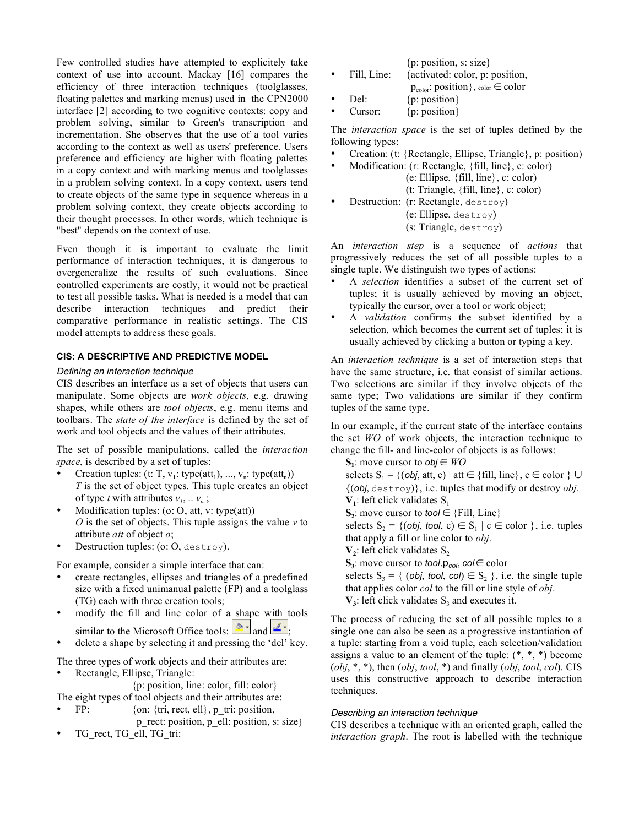Few controlled studies have attempted to explicitely take context of use into account. Mackay [16] compares the efficiency of three interaction techniques (toolglasses, floating palettes and marking menus) used in the CPN2000 interface [2] according to two cognitive contexts: copy and problem solving, similar to Green's transcription and incrementation. She observes that the use of a tool varies according to the context as well as users' preference. Users preference and efficiency are higher with floating palettes in a copy context and with marking menus and toolglasses in a problem solving context. In a copy context, users tend to create objects of the same type in sequence whereas in a problem solving context, they create objects according to their thought processes. In other words, which technique is "best" depends on the context of use.

Even though it is important to evaluate the limit performance of interaction techniques, it is dangerous to overgeneralize the results of such evaluations. Since controlled experiments are costly, it would not be practical to test all possible tasks. What is needed is a model that can describe interaction techniques and predict their comparative performance in realistic settings. The CIS model attempts to address these goals.

# **CIS: A DESCRIPTIVE AND PREDICTIVE MODEL**

### *Defining an interaction technique*

CIS describes an interface as a set of objects that users can manipulate. Some objects are *work objects*, e.g. drawing shapes, while others are *tool objects*, e.g. menu items and toolbars. The *state of the interface* is defined by the set of work and tool objects and the values of their attributes.

The set of possible manipulations, called the *interaction space*, is described by a set of tuples:

- Creation tuples: (t: T,  $v_1$ : type(att<sub>1</sub>), ...,  $v_n$ : type(att<sub>n</sub>)) *T* is the set of object types. This tuple creates an object of type *t* with attributes  $v_1, \ldots v_n$ ;
- Modification tuples: (o: O, att, v: type(att)) *O* is the set of objects. This tuple assigns the value *v* to attribute *att* of object *o*;
- Destruction tuples: (o: O, destroy).

For example, consider a simple interface that can:

- create rectangles, ellipses and triangles of a predefined size with a fixed unimanual palette (FP) and a toolglass (TG) each with three creation tools;
- modify the fill and line color of a shape with tools similar to the Microsoft Office tools:  $\frac{1}{\sqrt{2}}$  and  $\frac{1}{\sqrt{2}}$
- delete a shape by selecting it and pressing the 'del' key.

The three types of work objects and their attributes are:

• Rectangle, Ellipse, Triangle:

```
{p: position, line: color, fill: color}
```
- The eight types of tool objects and their attributes are:
- FP:  $\{on: \{tri, rect, ell\}, p\}$  tri: position,
- p\_rect: position, p\_ell: position, s: size} TG\_rect, TG\_ell, TG\_tri:

| ${p: position, s: size}$ |  |  |
|--------------------------|--|--|
|                          |  |  |

- Fill, Line: {activated: color, p: position,
	- $p_{color}$ : position}, color ∈ color
- Del:  $\{p: position\}$ <br>• Cursor:  $\{p: position\}$ • Cursor:  $\{p: position\}$
- 

The *interaction space* is the set of tuples defined by the following types:

- Creation: (t: {Rectangle, Ellipse, Triangle}, p: position)
	- Modification: (r: Rectangle, {fill, line}, c: color)
		- (e: Ellipse, {fill, line}, c: color) (t: Triangle, {fill, line}, c: color)
	- Destruction: (r: Rectangle, destroy) (e: Ellipse, destroy) (s: Triangle, destroy)

An *interaction step* is a sequence of *actions* that progressively reduces the set of all possible tuples to a single tuple. We distinguish two types of actions:

- A *selection* identifies a subset of the current set of tuples; it is usually achieved by moving an object, typically the cursor, over a tool or work object;
- A *validation* confirms the subset identified by a selection, which becomes the current set of tuples; it is usually achieved by clicking a button or typing a key.

An *interaction technique* is a set of interaction steps that have the same structure, i.e. that consist of similar actions. Two selections are similar if they involve objects of the same type; Two validations are similar if they confirm tuples of the same type.

In our example, if the current state of the interface contains the set *WO* of work objects, the interaction technique to change the fill- and line-color of objects is as follows:

**S1**: move cursor to *obj* ∈ *WO* selects  $S_1 = \{ (obj, att, c) | att \in \{fill, line\}, c \in color \} \cup$ {(*obj*, destroy)}, i.e. tuples that modify or destroy *obj*.  $V_1$ : left click validates  $S_1$  $S_2$ : move cursor to *tool* ∈ {Fill, Line} selects  $S_2$  = {(*obj*, *tool*, *c*)  $\in$   $S_1$  | *c*  $\in$  *color* }, i.e. tuples that apply a fill or line color to *obj*.  $V_2$ : left click validates  $S_2$  $S_3$ : move cursor to *tool*.p<sub>col</sub>, *col* ∈ color selects  $S_3 = \{ (obj, tool, col) \in S_2 \}$ , i.e. the single tuple that applies color *col* to the fill or line style of *obj*.  $V_3$ : left click validates  $S_3$  and executes it.

The process of reducing the set of all possible tuples to a single one can also be seen as a progressive instantiation of a tuple: starting from a void tuple, each selection/validation assigns a value to an element of the tuple:  $(*, *, *)$  become (*obj*, \*, \*), then (*obj*, *tool*, \*) and finally (*obj*, *tool*, *col*). CIS uses this constructive approach to describe interaction techniques.

# *Describing an interaction technique*

CIS describes a technique with an oriented graph, called the *interaction graph*. The root is labelled with the technique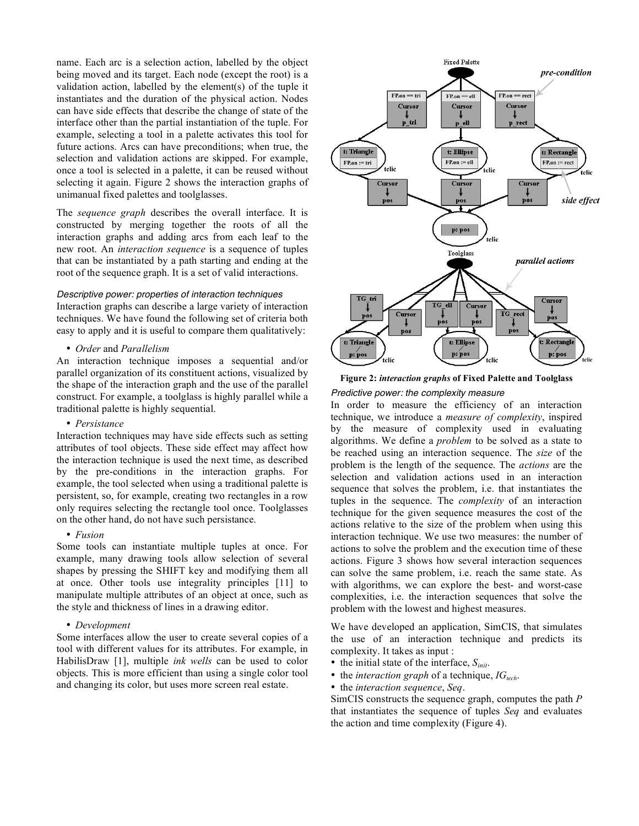name. Each arc is a selection action, labelled by the object being moved and its target. Each node (except the root) is a validation action, labelled by the element(s) of the tuple it instantiates and the duration of the physical action. Nodes can have side effects that describe the change of state of the interface other than the partial instantiation of the tuple. For example, selecting a tool in a palette activates this tool for future actions. Arcs can have preconditions; when true, the selection and validation actions are skipped. For example, once a tool is selected in a palette, it can be reused without selecting it again. Figure 2 shows the interaction graphs of unimanual fixed palettes and toolglasses.

The *sequence graph* describes the overall interface. It is constructed by merging together the roots of all the interaction graphs and adding arcs from each leaf to the new root. An *interaction sequence* is a sequence of tuples that can be instantiated by a path starting and ending at the root of the sequence graph. It is a set of valid interactions.

### *Descriptive power: properties of interaction techniques*

Interaction graphs can describe a large variety of interaction techniques. We have found the following set of criteria both easy to apply and it is useful to compare them qualitatively:

• *Order* and *Parallelism*

An interaction technique imposes a sequential and/or parallel organization of its constituent actions, visualized by the shape of the interaction graph and the use of the parallel construct. For example, a toolglass is highly parallel while a traditional palette is highly sequential.

### • *Persistance*

Interaction techniques may have side effects such as setting attributes of tool objects. These side effect may affect how the interaction technique is used the next time, as described by the pre-conditions in the interaction graphs. For example, the tool selected when using a traditional palette is persistent, so, for example, creating two rectangles in a row only requires selecting the rectangle tool once. Toolglasses on the other hand, do not have such persistance.

# • *Fusion*

Some tools can instantiate multiple tuples at once. For example, many drawing tools allow selection of several shapes by pressing the SHIFT key and modifying them all at once. Other tools use integrality principles [11] to manipulate multiple attributes of an object at once, such as the style and thickness of lines in a drawing editor.

# • *Development*

Some interfaces allow the user to create several copies of a tool with different values for its attributes. For example, in HabilisDraw [1], multiple *ink wells* can be used to color objects. This is more efficient than using a single color tool and changing its color, but uses more screen real estate.



# **Figure 2:** *interaction graphs* **of Fixed Palette and Toolglass**

# *Predictive power: the complexity measure*

In order to measure the efficiency of an interaction technique, we introduce a *measure of complexity*, inspired by the measure of complexity used in evaluating algorithms. We define a *problem* to be solved as a state to be reached using an interaction sequence. The *size* of the problem is the length of the sequence. The *actions* are the selection and validation actions used in an interaction sequence that solves the problem, i.e. that instantiates the tuples in the sequence. The *complexity* of an interaction technique for the given sequence measures the cost of the actions relative to the size of the problem when using this interaction technique. We use two measures: the number of actions to solve the problem and the execution time of these actions. Figure 3 shows how several interaction sequences can solve the same problem, i.e. reach the same state. As with algorithms, we can explore the best- and worst-case complexities, i.e. the interaction sequences that solve the problem with the lowest and highest measures.

We have developed an application, SimCIS, that simulates the use of an interaction technique and predicts its complexity. It takes as input :

- the initial state of the interface, *Sinit*.
- the *interaction graph* of a technique, *IGtech*.
- the *interaction sequence*, *Seq*.

SimCIS constructs the sequence graph, computes the path *P* that instantiates the sequence of tuples *Seq* and evaluates the action and time complexity (Figure 4).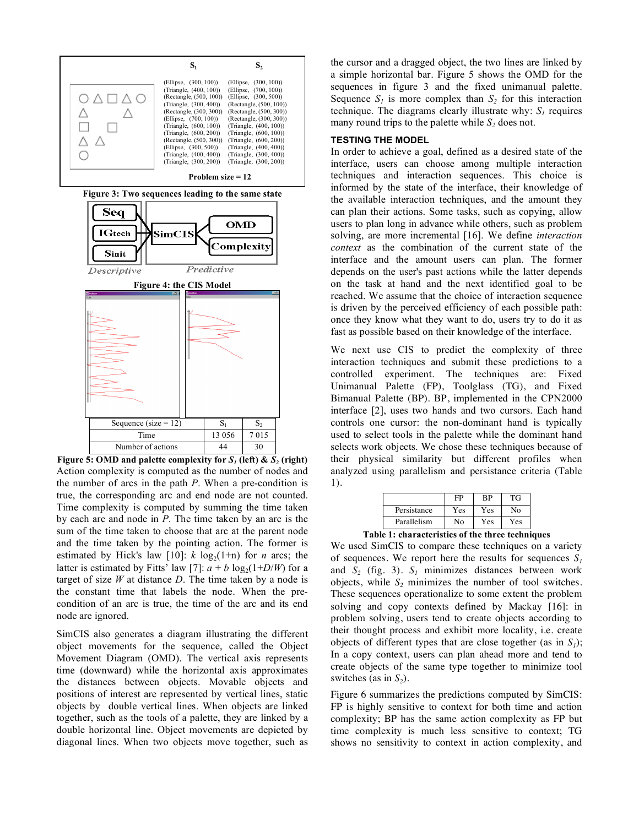

**Figure 5: OMD and palette complexity for**  $S<sub>1</sub>$  **(left) &**  $S<sub>2</sub>$  **(right)** Action complexity is computed as the number of nodes and the number of arcs in the path *P*. When a pre-condition is true, the corresponding arc and end node are not counted. Time complexity is computed by summing the time taken by each arc and node in *P*. The time taken by an arc is the sum of the time taken to choose that arc at the parent node and the time taken by the pointing action. The former is estimated by Hick's law [10]:  $k \log_2(1+n)$  for *n* arcs; the latter is estimated by Fitts' law [7]:  $a + b \log_2(1+D/W)$  for a target of size  $W$  at distance  $D$ . The time taken by a node is the constant time that labels the node. When the precondition of an arc is true, the time of the arc and its end node are ignored.

SimCIS also generates a diagram illustrating the different object movements for the sequence, called the Object Movement Diagram (OMD). The vertical axis represents time (downward) while the horizontal axis approximates the distances between objects. Movable objects and positions of interest are represented by vertical lines, static objects by double vertical lines. When objects are linked together, such as the tools of a palette, they are linked by a double horizontal line. Object movements are depicted by diagonal lines. When two objects move together, such as

the cursor and a dragged object, the two lines are linked by a simple horizontal bar. Figure 5 shows the OMD for the sequences in figure 3 and the fixed unimanual palette. Sequence  $S_l$  is more complex than  $S_2$  for this interaction technique. The diagrams clearly illustrate why:  $S_l$  requires many round trips to the palette while  $S_2$  does not.

### **TESTING THE MODEL**

In order to achieve a goal, defined as a desired state of the interface, users can choose among multiple interaction techniques and interaction sequences. This choice is informed by the state of the interface, their knowledge of the available interaction techniques, and the amount they can plan their actions. Some tasks, such as copying, allow users to plan long in advance while others, such as problem solving, are more incremental [16]. We define *interaction context* as the combination of the current state of the interface and the amount users can plan. The former depends on the user's past actions while the latter depends on the task at hand and the next identified goal to be reached. We assume that the choice of interaction sequence is driven by the perceived efficiency of each possible path: once they know what they want to do, users try to do it as fast as possible based on their knowledge of the interface.

We next use CIS to predict the complexity of three interaction techniques and submit these predictions to a controlled experiment. The techniques are: Fixed Unimanual Palette (FP), Toolglass (TG), and Fixed Bimanual Palette (BP). BP, implemented in the CPN2000 interface [2], uses two hands and two cursors. Each hand controls one cursor: the non-dominant hand is typically used to select tools in the palette while the dominant hand selects work objects. We chose these techniques because of their physical similarity but different profiles when analyzed using parallelism and persistance criteria (Table 1).

|             | FP  | <b>BP</b> | <b>TG</b> |
|-------------|-----|-----------|-----------|
| Persistance | Yes | Yes       | No        |
| Parallelism | Nο  | Yes       | Yes       |

**Table 1: characteristics of the three techniques**

We used SimCIS to compare these techniques on a variety of sequences. We report here the results for sequences  $S_l$ and  $S_2$  (fig. 3).  $S_1$  minimizes distances between work objects, while  $S_2$  minimizes the number of tool switches. These sequences operationalize to some extent the problem solving and copy contexts defined by Mackay [16]: in problem solving, users tend to create objects according to their thought process and exhibit more locality, i.e. create objects of different types that are close together (as in  $S_l$ ); In a copy context, users can plan ahead more and tend to create objects of the same type together to minimize tool switches (as in  $S_2$ ).

Figure 6 summarizes the predictions computed by SimCIS: FP is highly sensitive to context for both time and action complexity; BP has the same action complexity as FP but time complexity is much less sensitive to context; TG shows no sensitivity to context in action complexity, and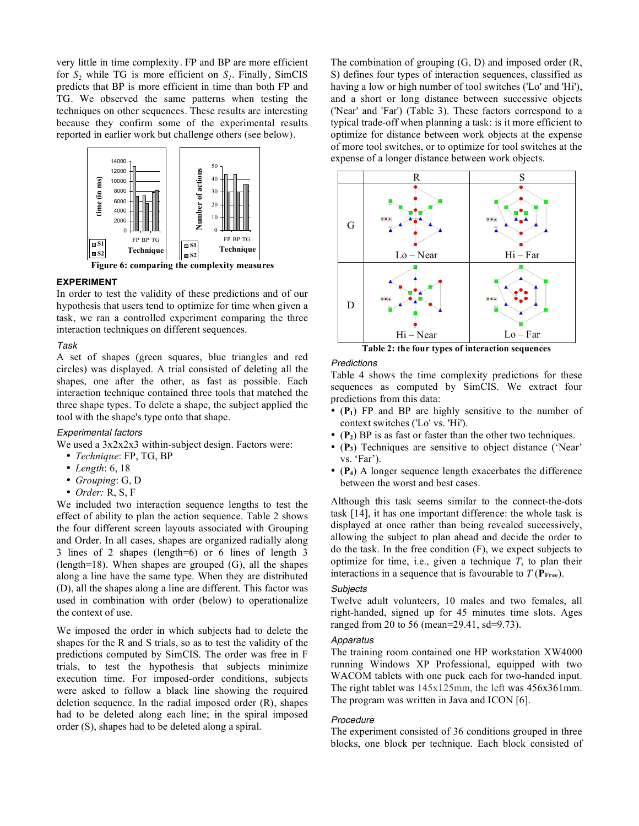very little in time complexity. FP and BP are more efficient for  $S_2$  while TG is more efficient on  $S_1$ . Finally, SimCIS predicts that BP is more efficient in time than both FP and TG. We observed the same patterns when testing the techniques on other sequences. These results are interesting because they confirm some of the experimental results reported in earlier work but challenge others (see below).



### **EXPERIMENT**

In order to test the validity of these predictions and of our hypothesis that users tend to optimize for time when given a task, we ran a controlled experiment comparing the three interaction techniques on different sequences.

### *Task*

A set of shapes (green squares, blue triangles and red circles) was displayed. A trial consisted of deleting all the shapes, one after the other, as fast as possible. Each interaction technique contained three tools that matched the three shape types. To delete a shape, the subject applied the tool with the shape's type onto that shape.

### *Experimental factors*

We used a 3x2x2x3 within-subject design. Factors were:

- *Technique*: FP, TG, BP
- *Length*: 6, 18
- *Grouping*: G, D
- *Order:* R, S, F

We included two interaction sequence lengths to test the effect of ability to plan the action sequence. Table 2 shows the four different screen layouts associated with Grouping and Order. In all cases, shapes are organized radially along 3 lines of 2 shapes (length=6) or 6 lines of length 3 (length=18). When shapes are grouped (G), all the shapes along a line have the same type. When they are distributed (D), all the shapes along a line are different. This factor was used in combination with order (below) to operationalize the context of use.

We imposed the order in which subjects had to delete the shapes for the R and S trials, so as to test the validity of the predictions computed by SimCIS. The order was free in F trials, to test the hypothesis that subjects minimize execution time. For imposed-order conditions, subjects were asked to follow a black line showing the required deletion sequence. In the radial imposed order (R), shapes had to be deleted along each line; in the spiral imposed order (S), shapes had to be deleted along a spiral.

The combination of grouping (G, D) and imposed order (R, S) defines four types of interaction sequences, classified as having a low or high number of tool switches ('Lo' and 'Hi'), and a short or long distance between successive objects ('Near' and 'Far') (Table 3). These factors correspond to a typical trade-off when planning a task: is it more efficient to optimize for distance between work objects at the expense of more tool switches, or to optimize for tool switches at the expense of a longer distance between work objects.



**Table 2: the four types of interaction sequences**

# *Predictions*

Table 4 shows the time complexity predictions for these sequences as computed by SimCIS. We extract four predictions from this data:

- (**P1**) FP and BP are highly sensitive to the number of context switches ('Lo' vs. 'Hi').
- (**P2**) BP is as fast or faster than the other two techniques.
- (**P3**) Techniques are sensitive to object distance ('Near' vs. 'Far').
- (**P4**) A longer sequence length exacerbates the difference between the worst and best cases.

Although this task seems similar to the connect-the-dots task [14], it has one important difference: the whole task is displayed at once rather than being revealed successively, allowing the subject to plan ahead and decide the order to do the task. In the free condition (F), we expect subjects to optimize for time, i.e., given a technique *T*, to plan their interactions in a sequence that is favourable to  $T(\mathbf{P}_{\text{Free}})$ .

#### *Subjects*

Twelve adult volunteers, 10 males and two females, all right-handed, signed up for 45 minutes time slots. Ages ranged from 20 to 56 (mean=29.41, sd=9.73).

### *Apparatus*

The training room contained one HP workstation XW4000 running Windows XP Professional, equipped with two WACOM tablets with one puck each for two-handed input. The right tablet was 145x125mm, the left was 456x361mm. The program was written in Java and ICON [6].

#### *Procedure*

The experiment consisted of 36 conditions grouped in three blocks, one block per technique. Each block consisted of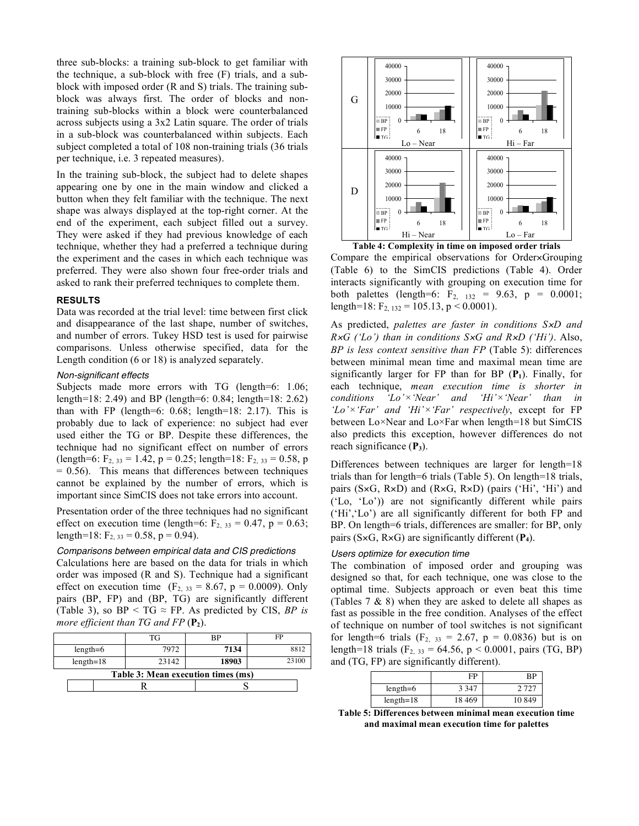three sub-blocks: a training sub-block to get familiar with the technique, a sub-block with free (F) trials, and a subblock with imposed order (R and S) trials. The training subblock was always first. The order of blocks and nontraining sub-blocks within a block were counterbalanced across subjects using a 3x2 Latin square. The order of trials in a sub-block was counterbalanced within subjects. Each subject completed a total of 108 non-training trials (36 trials per technique, i.e. 3 repeated measures).

In the training sub-block, the subject had to delete shapes appearing one by one in the main window and clicked a button when they felt familiar with the technique. The next shape was always displayed at the top-right corner. At the end of the experiment, each subject filled out a survey. They were asked if they had previous knowledge of each technique, whether they had a preferred a technique during the experiment and the cases in which each technique was preferred. They were also shown four free-order trials and asked to rank their preferred techniques to complete them.

### **RESULTS**

Data was recorded at the trial level: time between first click and disappearance of the last shape, number of switches, and number of errors. Tukey HSD test is used for pairwise comparisons. Unless otherwise specified, data for the Length condition (6 or 18) is analyzed separately.

### *Non-significant effects*

Subjects made more errors with TG (length=6: 1.06; length=18: 2.49) and BP (length=6: 0.84; length=18: 2.62) than with FP (length=6:  $0.68$ ; length=18: 2.17). This is probably due to lack of experience: no subject had ever used either the TG or BP. Despite these differences, the technique had no significant effect on number of errors (length=6:  $F_{2, 33} = 1.42$ ,  $p = 0.25$ ; length=18:  $F_{2, 33} = 0.58$ , p  $= 0.56$ ). This means that differences between techniques cannot be explained by the number of errors, which is important since SimCIS does not take errors into account.

Presentation order of the three techniques had no significant effect on execution time (length=6:  $F_2$ ,  $_{33}$  = 0.47, p = 0.63; length=18:  $F_{2, 33} = 0.58$ , p = 0.94).

*Comparisons between empirical data and CIS predictions* Calculations here are based on the data for trials in which order was imposed (R and S). Technique had a significant effect on execution time  $(F_{2, 33} = 8.67, p = 0.0009)$ . Only pairs (BP, FP) and (BP, TG) are significantly different (Table 3), so  $BP < TG \approx FP$ . As predicted by CIS, *BP* is *more efficient than TG and FP* ( $P_2$ ).

|                                    |  | TG    | RP    | ED    |  |
|------------------------------------|--|-------|-------|-------|--|
| $length=6$                         |  | 7972  | 7134  | 8812  |  |
| $length=18$                        |  | 23142 | 18903 | 23100 |  |
| Table 3: Mean execution times (ms) |  |       |       |       |  |
|                                    |  |       |       |       |  |



**Table 4: Complexity in time on imposed order trials**  Compare the empirical observations for Order×Grouping (Table 6) to the SimCIS predictions (Table 4). Order interacts significantly with grouping on execution time for both palettes (length=6:  $F_2$ ,  $_{132}$  = 9.63, p = 0.0001; length=18:  $F_{2, 132} = 105.13$ , p < 0.0001).

As predicted, *palettes are faster in conditions S*×*D and R*×*G ('Lo') than in conditions S*×*G and R*×*D ('Hi')*. Also, *BP is less context sensitive than FP* (Table 5): differences between minimal mean time and maximal mean time are significantly larger for FP than for BP  $(P_1)$ . Finally, for each technique, *mean execution time is shorter in conditions 'Lo'×'Near' and 'Hi'×'Near' than in 'Lo'×'Far' and 'Hi'×'Far' respectively*, except for FP between Lo×Near and Lo×Far when length=18 but SimCIS also predicts this exception, however differences do not reach significance (**P3**).

Differences between techniques are larger for length=18 trials than for length=6 trials (Table 5). On length=18 trials, pairs (S×G, R×D) and (R×G, R×D) (pairs ('Hi', 'Hi') and ('Lo, 'Lo')) are not significantly different while pairs ('Hi','Lo') are all significantly different for both FP and BP. On length=6 trials, differences are smaller: for BP, only pairs (S×G, R×G) are significantly different (**P4**).

# *Users optimize for execution time*

The combination of imposed order and grouping was designed so that, for each technique, one was close to the optimal time. Subjects approach or even beat this time (Tables 7 & 8) when they are asked to delete all shapes as fast as possible in the free condition. Analyses of the effect of technique on number of tool switches is not significant for length=6 trials ( $F_2$ ,  $_{33}$  = 2.67, p = 0.0836) but is on length=18 trials (F<sub>2, 33</sub> = 64.56, p < 0.0001, pairs (TG, BP) and (TG, FP) are significantly different).

|             | FP      | ВP    |
|-------------|---------|-------|
| $length=6$  | 3 3 4 7 | 2 727 |
| $length=18$ | 18 469  | 10849 |

**Table 5: Differences between minimal mean execution time and maximal mean execution time for palettes**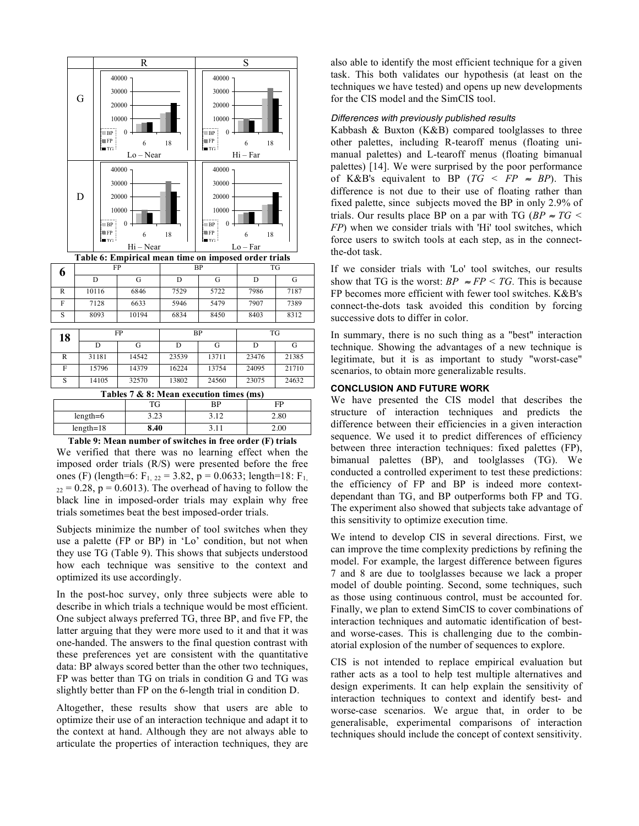

**Table 9: Mean number of switches in free order (F) trials** We verified that there was no learning effect when the imposed order trials (R/S) were presented before the free ones (F) (length=6:  $F_{1, 22} = 3.82$ , p = 0.0633; length=18:  $F_{1, 22} = 3.82$  $22 = 0.28$ ,  $p = 0.6013$ ). The overhead of having to follow the black line in imposed-order trials may explain why free trials sometimes beat the best imposed-order trials.

Subjects minimize the number of tool switches when they use a palette (FP or BP) in 'Lo' condition, but not when they use TG (Table 9). This shows that subjects understood how each technique was sensitive to the context and optimized its use accordingly.

In the post-hoc survey, only three subjects were able to describe in which trials a technique would be most efficient. One subject always preferred TG, three BP, and five FP, the latter arguing that they were more used to it and that it was one-handed. The answers to the final question contrast with these preferences yet are consistent with the quantitative data: BP always scored better than the other two techniques, FP was better than TG on trials in condition G and TG was slightly better than FP on the 6-length trial in condition D.

Altogether, these results show that users are able to optimize their use of an interaction technique and adapt it to the context at hand. Although they are not always able to articulate the properties of interaction techniques, they are

also able to identify the most efficient technique for a given task. This both validates our hypothesis (at least on the techniques we have tested) and opens up new developments for the CIS model and the SimCIS tool.

# *Differences with previously published results*

Kabbash & Buxton (K&B) compared toolglasses to three other palettes, including R-tearoff menus (floating unimanual palettes) and L-tearoff menus (floating bimanual palettes) [14]. We were surprised by the poor performance of K&B's equivalent to BP ( $TG < FP \approx BP$ ). This difference is not due to their use of floating rather than fixed palette, since subjects moved the BP in only 2.9% of trials. Our results place BP on a par with TG ( $BP \approx TG$ ) *FP*) when we consider trials with 'Hi' tool switches, which force users to switch tools at each step, as in the connectthe-dot task.

If we consider trials with 'Lo' tool switches, our results show that TG is the worst:  $BP \approx FP \lt TG$ . This is because FP becomes more efficient with fewer tool switches. K&B's connect-the-dots task avoided this condition by forcing successive dots to differ in color.

In summary, there is no such thing as a "best" interaction technique. Showing the advantages of a new technique is legitimate, but it is as important to study "worst-case" scenarios, to obtain more generalizable results.

## **CONCLUSION AND FUTURE WORK**

We have presented the CIS model that describes the structure of interaction techniques and predicts the difference between their efficiencies in a given interaction sequence. We used it to predict differences of efficiency between three interaction techniques: fixed palettes (FP), bimanual palettes (BP), and toolglasses (TG). We conducted a controlled experiment to test these predictions: the efficiency of FP and BP is indeed more contextdependant than TG, and BP outperforms both FP and TG. The experiment also showed that subjects take advantage of this sensitivity to optimize execution time.

We intend to develop CIS in several directions. First, we can improve the time complexity predictions by refining the model. For example, the largest difference between figures 7 and 8 are due to toolglasses because we lack a proper model of double pointing. Second, some techniques, such as those using continuous control, must be accounted for. Finally, we plan to extend SimCIS to cover combinations of interaction techniques and automatic identification of bestand worse-cases. This is challenging due to the combinatorial explosion of the number of sequences to explore.

CIS is not intended to replace empirical evaluation but rather acts as a tool to help test multiple alternatives and design experiments. It can help explain the sensitivity of interaction techniques to context and identify best- and worse-case scenarios. We argue that, in order to be generalisable, experimental comparisons of interaction techniques should include the concept of context sensitivity.